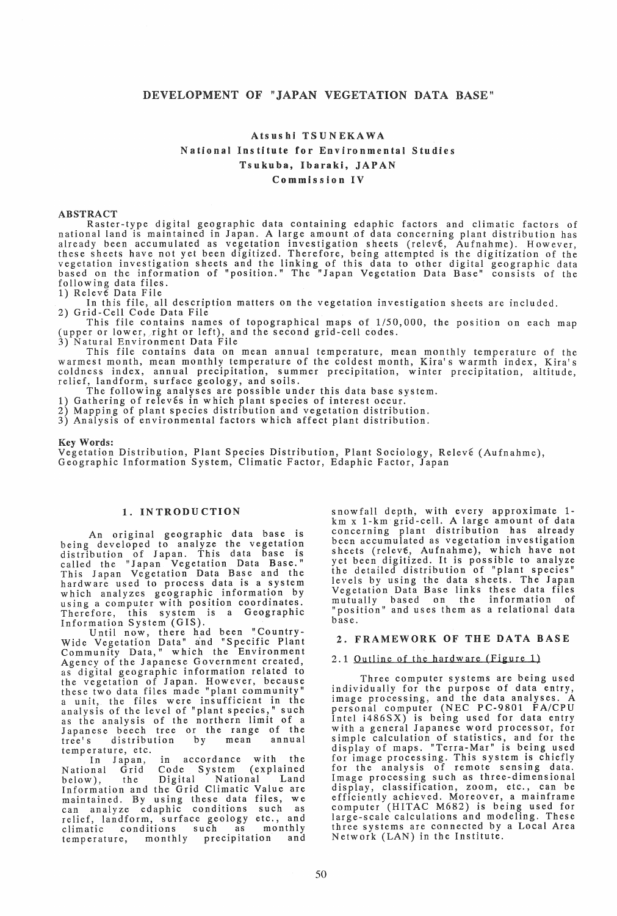# DEVELOPMENT OF "JAPAN VEGETATION DATA BASE"

# Atsushi TSUNEKAWA National Institute for Environmental Studies Tsukuba, Ibaraki, JAPAN Commission IV

ABSTRACT<br>Raster-type digital geographic data containing edaphic factors and climatic factors of national land is maintained in Japan. A large amount of data concerning plant distribution has already been accumulated as vegetation investigation sheets (relevé, Aufnahme). However,<br>these sheets have not yet been digitized. Therefore, being attempted is the digitization of the vegetation investigation sheets and the linking of this data to other digital geographic data based on the information of "position." The "Japan Vegetation Data Base" consists of the following data files.

1) Relevé Data File

In this file, all description matters on the vegetation investigation sheets are included. 2) Grid-Cell Code Data File

This file contains names of topographical maps of 1/50,000, the position on each map (upper or lower, right or left), and the second grid-cell codes.

3) Natural Environment Data File

This file contains data on mean annual temperature, mean monthly temperature of the warmest month, mean monthly temperature of the coldest month, Kira's warmth index, Kira's coldness index, annual precipitation, summer precipitation, winter precipitation, altitude, relief, landform, surface geology, and soils.

The following analyses are possible under this data base system.

1) Gathering of relevés in which plant species of interest occur.

2) Mapping of plant species distribution and vegetation distribution.

3) Analysis of environmental factors which affect plant distribution.

## Key Words:

Vegetation Distribution, Plant Species Distribution, Plant Sociology, Relevé (Aufnahme), Geographic Information System, Climatic Factor, Edaphic Factor, Japan

# 1. INTRODU CTION

An original geographic data base is being developed to analyze the vegetation distribution of Japan. This data base is called the "Japan Vegetation Data Base." This Japan Vegetation Data Base and the hardware used to process data is a system which analyzes geographic information by using a computer with position coordinates. Therefore, this system is a Geographic Information System (GIS).

Until now, there had been "Country-Wide Vegetation Data" and "Specific Plant Community Data," which the Environment Agency of the Japanese Government created, as digital geographic information related to the vegetation of Japan. However, because these two data files made "plant community" a unit, the files were insufficient in the analysis of the level of "plant species," such as the analysis of the northern limit of a Japanese beech tree or the range of the tree's distribution by mean annual tree's distribution<br>temperature, etc.<br>In Japan, in

In Japan, in accordance with the<br>National Grid Code System (explained System (explained<br>1 National Land below), the Digital National Land<br>Information and the Grid Climatic Value are maintained. By using these data files, we can analyze edaphic conditions such as relief, landform, surface geology etc., and climatic conditions such as monthly climatic conditions such as monthly temperature, monthly precipitation and snowfall depth, with every approximate 1 km x 1-km grid-cell. A large amount of data concerning plant distribution has already been accumulated as vegetation investigation sheets (releve, Aufnahme), which have not yet been digitized. It is possible to analyze the detailed distribution of "plant species" levels by using the data sheets. The Japan Vegetation Data Base links these data files mutually based on the information of "position" and uses them as a relational data base.

# 2. FRAMEWORK OF THE DATA BASE

#### 2.1 Outline of the hardware (Figure 1)

Three computer systems are being used individually for the purpose of data entry, image processing, and the data analyses. A personal computer (NEC PC-9801 FA/CPU Intel i486SX) is being used for data entry with a general Japanese word processor, for simple calculation of statistics, and for the display of maps. "Terra-Mar" is being used for image processing. This system is chiefly for the analysis of remote sensing data. Image processing such as three-dimensional display, classification, zoom, etc., can be efficiently achieved. Moreover, a mainframe computer (HITAC M682) is being used for large-scale calculations and modeling. These three systems are connected by a Local Area Network (LAN) in the Institute.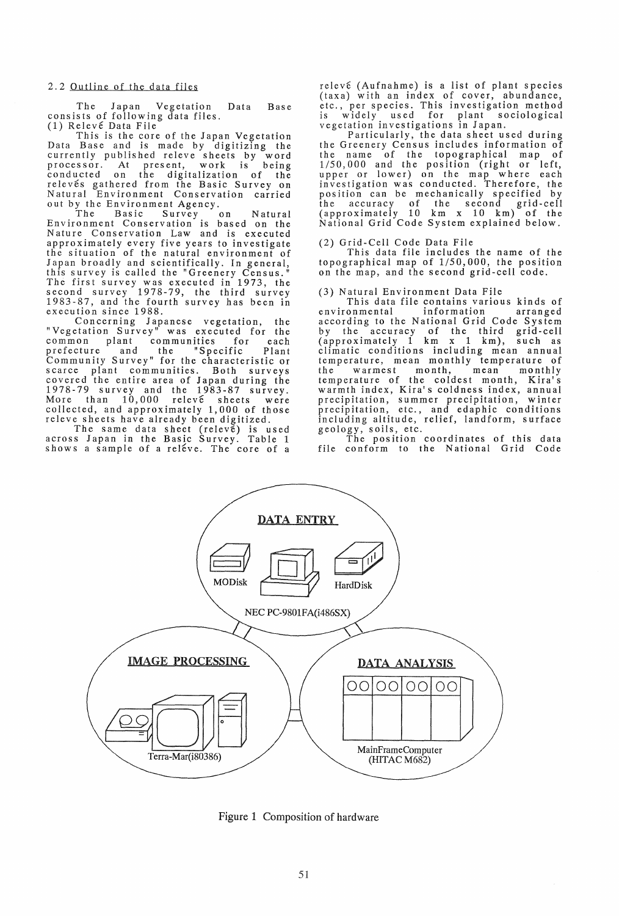The Japan Vegetation Data Base consists of following data files. (1) Releve Data File

This is the core of the Japan Vegetation Data Base and is made by digitizing the currently published releve sheets by word processor. At present, work is being conducted on the digitalization of the relevés gathered from the Basic Survey on Natural Environment Conservation carried out by the Environment Agency.<br>The Basic Survey

The Basic Survey on Natural Environment Conservation is based on the Nature Conservation Law and is executed approximately every five years to investigate the situation of the natural environment of Japan broadly and scientifically. In general, this survey is called the "Greenery Census." The first survey was executed in 1973, the second survey 1978-79, the third survey 1983-87, and the fourth survey has been in execution since 1988.

Concerning Japanese vegetation, the "Vegetation Survey" was executed for the<br>common plant communities for each<br>prefecture and the "Specifice" common plant communities for each prefecture and the "Specific Plant Community Survey" for the characteristic or scarce plant communities. Both surveys covered the entire area of Japan during the 1978-79 survey and the 1983-87 survey. More than 10,000 releve sheets were collected, and approximately 1,000 of those re1eve sheets have already been digitized.

The same data sheet (releve) is used across Japan in the Basic Survey. Table 1 shows a sample of a releve. The core of a releve (Aufnahme) is a list of plant species (taxa) with an index of cover, abundance, etc., per species. This investigation method is widely used for plant sociological vegetation investigations in Japan.

Particularly, the data sheet used during the Greenery Census includes information of the name of the topographical map of 1/50,000 and the position (right or left, upper or lower) on the map where each investigation was conducted. Therefore, the position can be mechanically specified by the accuracy of the second grid-cell (approximately 10 km x 10 km) of the National Grid Code System explained below.

(2) Grid-Cell Code Data File

This data file includes the name of the topographical map of 1/50,000, the position on the map, and the second grid-cell code.

#### (3) Natural Environment Data File

This data file contains various kinds of environmental according to the National Grid Code System by the accuracy of the third grid-cell<br>(approximately 1 km x 1 km), such as (approximately 1 km x 1 km), such as climatic conditions including mean annual temperature, mean monthly temperature of the warmest month, mean monthly temperature of the coldest month, Kira's warmth index, Kira's coldness index, annual precipitation, summer precipitation, winter precipitation, etc., and edaphic conditions including altitude, relief, landform, surface geology, soils, etc.

The position coordinates of this data file conform to the National Grid Code



Figure 1 Composition of hardware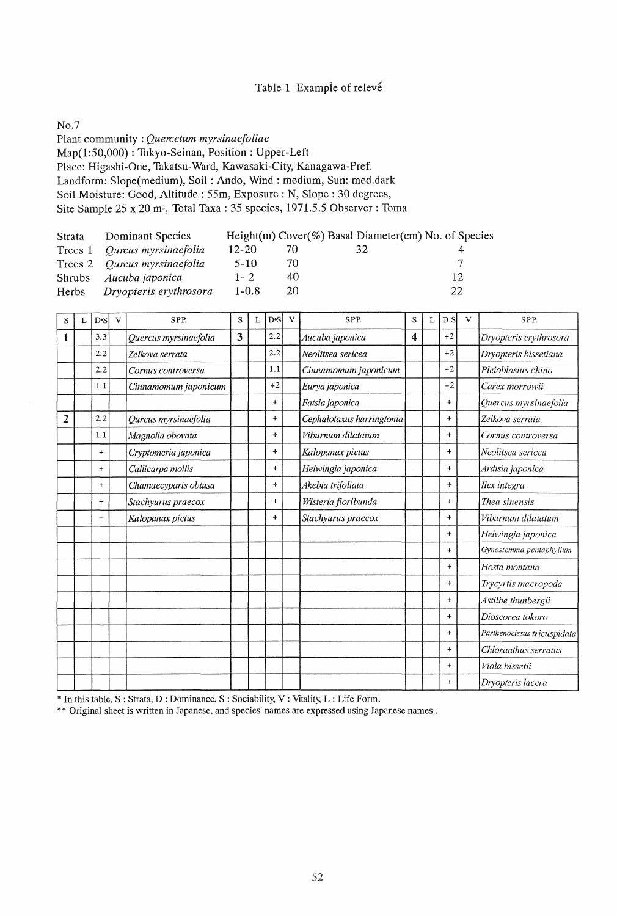# Table 1 Example of releve

No.7

Plant community: *Quercetum myrsinaefoliae*  Map(1:50,000) : Tokyo-Seinan, Position: Upper-Left Place: Higashi-One, Takatsu-Ward, Kawasaki-City, Kanagawa-Pref. Landform: Slope(medium), Soil: Ando, Wind: medium, Sun: med.dark Soil Moisture: Good, Altitude: 55m, Exposure: N, Slope: 30 degrees, Site Sample 25 x 20 m<sup>2</sup>, Total Taxa: 35 species, 1971.5.5 Observer: Toma

| Strata | Dominant Species             |           |     | Height $(m)$ Cover $(\%)$ Basal Diameter $(cm)$ No. of Species |    |
|--------|------------------------------|-----------|-----|----------------------------------------------------------------|----|
|        | Trees 1 Qurcus myrsinaefolia | $12 - 20$ | 70. | 32                                                             |    |
|        | Trees 2 Qurcus myrsinaefolia | $5-10$    | 70  |                                                                |    |
|        | Shrubs Aucuba japonica       | $1 - 2$   | 40  |                                                                | 12 |
|        | Herbs Dryopteris erythrosora | $1 - 0.8$ | 20  |                                                                | 22 |

| S              | $D-S$     | $\mathbf{V}$ | SPP.                  | S | L | D <sub>°</sub> S | $\mathbf{V}$ | SPP.                      | S | L | D.S       | V | SPP.                        |
|----------------|-----------|--------------|-----------------------|---|---|------------------|--------------|---------------------------|---|---|-----------|---|-----------------------------|
| 1              | 3.3       |              | Quercus myrsinaefolia | 3 |   | 2.2              |              | Aucuba japonica           | 4 |   | $+2$      |   | Dryopteris erythrosora      |
|                | 2.2       |              | Zelkova serrata       |   |   | 2.2              |              | Neolitsea sericea         |   |   | $+2$      |   | Dryopteris bissetiana       |
|                | 2.2       |              | Cornus controversa    |   |   | 1.1              |              | Cinnamomum japonicum      |   |   | $+2$      |   | Pleioblastus chino          |
|                | 1.1       |              | Cinnamomum japonicum  |   |   | $+2$             |              | Eurya japonica            |   |   | $+2$      |   | Carex morrowii              |
|                |           |              |                       |   |   | $\ddot{}$        |              | Fatsia japonica           |   |   | $\ddot{}$ |   | Quercus myrsinaefolia       |
| $\overline{2}$ | 2.2       |              | Qurcus myrsinaefolia  |   |   | $\ddot{}$        |              | Cephalotaxus harringtonia |   |   | $\ddot{}$ |   | Zelkova serrata             |
|                | 1.1       |              | Magnolia obovata      |   |   | $\ddot{}$        |              | Viburnum dilatatum        |   |   | $+$       |   | Cornus controversa          |
|                | $+$       |              | Cryptomeria japonica  |   |   | $\ddot{}$        |              | Kalopanax pictus          |   |   | $\ddot{}$ |   | Neolitsea sericea           |
|                | $+$       |              | Callicarpa mollis     |   |   | $\ddotmark$      |              | Helwingia japonica        |   |   | $\ddot{}$ |   | Ardisia japonica            |
|                | $+$       |              | Chamaecyparis obtusa  |   |   | $+$              |              | Akebia trifoliata         |   |   | $+$       |   | Ilex integra                |
|                | $\ddot{}$ |              | Stachyurus praecox    |   |   | $+$              |              | Wisteria floribunda       |   |   | $+$       |   | Thea sinensis               |
|                | $\ddot{}$ |              | Kalopanax pictus      |   |   | $+$              |              | Stachyurus praecox        |   |   | $+$       |   | Viburnum dilatatum          |
|                |           |              |                       |   |   |                  |              |                           |   |   | $+$       |   | Helwingia japonica          |
|                |           |              |                       |   |   |                  |              |                           |   |   | $\ddot{}$ |   | Gynostemma pentaphyllum     |
|                |           |              |                       |   |   |                  |              |                           |   |   | $+$       |   | Hosta montana               |
|                |           |              |                       |   |   |                  |              |                           |   |   | $\ddot{}$ |   | Trycyrtis macropoda         |
|                |           |              |                       |   |   |                  |              |                           |   |   | $\ddot{}$ |   | Astilbe thunbergii          |
|                |           |              |                       |   |   |                  |              |                           |   |   | $+$       |   | Dioscorea tokoro            |
|                |           |              |                       |   |   |                  |              |                           |   |   | $+$       |   | Parthenocissus tricuspidata |
|                |           |              |                       |   |   |                  |              |                           |   |   | $\ddot{}$ |   | Chloranthus serratus        |
|                |           |              |                       |   |   |                  |              |                           |   |   | $+$       |   | Viola bissetii              |
|                |           |              |                       |   |   |                  |              |                           |   |   | $\ddot{}$ |   | Dryopteris lacera           |

\* In this table, S : Strata, D : Dominance, S : Sociability, V : Vitality, L : Life Form.

\*\* Original sheet is written in Japanese, and species' names are expressed using Japanese names..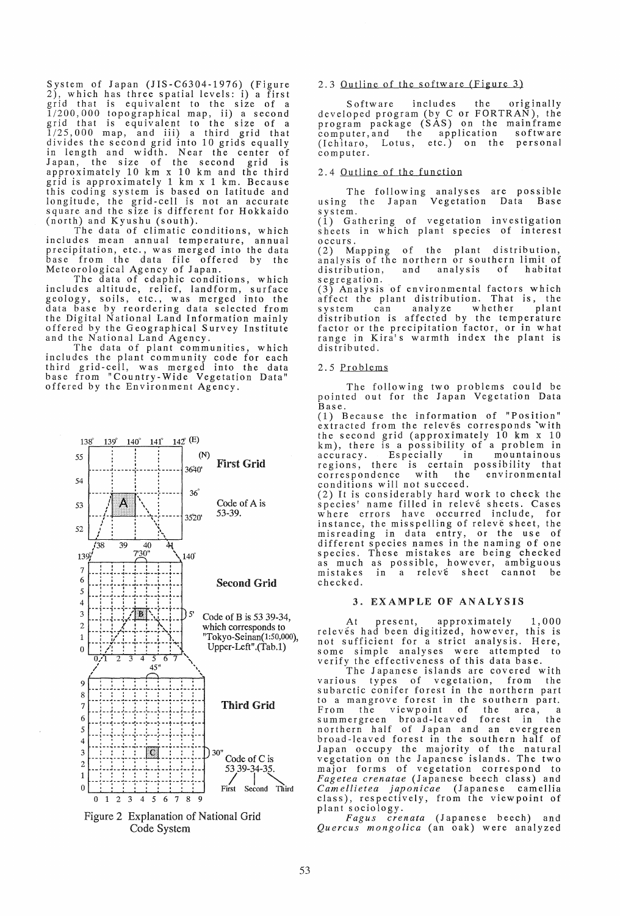System of Japan (JIS-C6304-1976) (Figure 2), which has three spatial levels: i) a first grid that is equivalent to the size of a 1/200,000 topographical map, ii) a second  $1/200,000$  topographical map, ii) a second<br>grid that is equivalent to the size of a<br> $1/25,000$  map, and iii) a third grid that divides the second grid into 10 grids equally in length and width. Near the center of Japan, the size of the second grid is approximately 10 km x 10 km and the third grid is approximately 1 km x 1 km. Because this coding system is based on latitude and longitude, the grid-cell is not an accurate square and the size is different for Hokkaido (north) and Kyushu (south).

The data of climatic conditions, which includes mean annual temperature, annual precipitation, etc., was merged into the data base from the data file offered by the Meteorological Agency of Japan.

The data of edaphic conditions, which includes altitude, relief, landform, surface geology, soils, etc., was merged into the data base by reordering data selected from the Digital National Land Information mainly offered by the Geographical Survey Institute and the National Land Agency.

The data of plant communities, which includes the plant community code for each third grid-cell, was merged into the data base from "Country-Wide Vegetation Data" offered by the Environment Agency.



Figure 2 Explanation of National Grid Code System

### 2.3 Outline of the software (Figure 3)

Software includes the originally d eve10 ped program (by C or FORTRAN), the program package (SAS) on the mainframe computer, and the application software (Ichitaro, Lotus, etc.) on the personal compu ter.

#### 2.4 Outline of the function

The following analyses are possible using the Japan Vegetation Data Base using the Japan<br>system.

(1) Gathering of vegetation investigation sheets in which plant species of interest occurs.

(2) Mapping of the plant distribution, analysis of the northern or southern limit of distribution, and analysis of habitat segregation.

(3) Analysis of environmental factors which affect the plant distribution. That is, the system can analyze whether plant distribution is affected by the temperature factor or the precipitation factor, or in what range in Kira's warmth index the plant is distributed.

#### 2.5 Problems

The following two problems could be pointed out for the Japan Vegetation Data Base.

(1) Because the information of "Position" extracted from the releves corresponds 'with the second grid (approximately 10 km x 10 km), there is a possibility of a problem in accuracy. Especially in mountainous regions, there is certain possibility that correspondence with the environmental conditions will not succeed.

(2) It is considerably hard work to check the species' name filled in releve sheets. Cases where errors have occurred include, for instance, the misspelling of releve sheet, the misreading in data entry, or the use of different species names in the naming of one species. These mistakes are being checked as much as possible, however, ambiguous mistakes in a releve sheet cannot be checked.

#### 3. EXAMPLE OF ANALYSIS

At present, approximately 1,000 relevés had been digitized, however, this is not sufficient for a strict analysis. Here, some simple analyses were attempted to verify the effectiveness of this data base.

The Japanese islands are covered with various types of vegetation, from the subarctic conifer forest in the northern part to a mangrove forest in the southern part. From the viewpoint of the area, a summergreen broad-leaved forest in the northern half of Japan and an evergreen broad-leaved forest in the southern half of Japan occupy the majority of the natural vegetation on the Japanese islands. The two major forms of vegetation correspond to *Fagetea crenatae* (Japanese beech class) and *Camellietea japonicae* (Japanese camellia class), respectively, from the viewpoint of plant sociology.

*Fagus crenata* (Japanese beech) and *Quercus mongolica* (an oak) were analyzed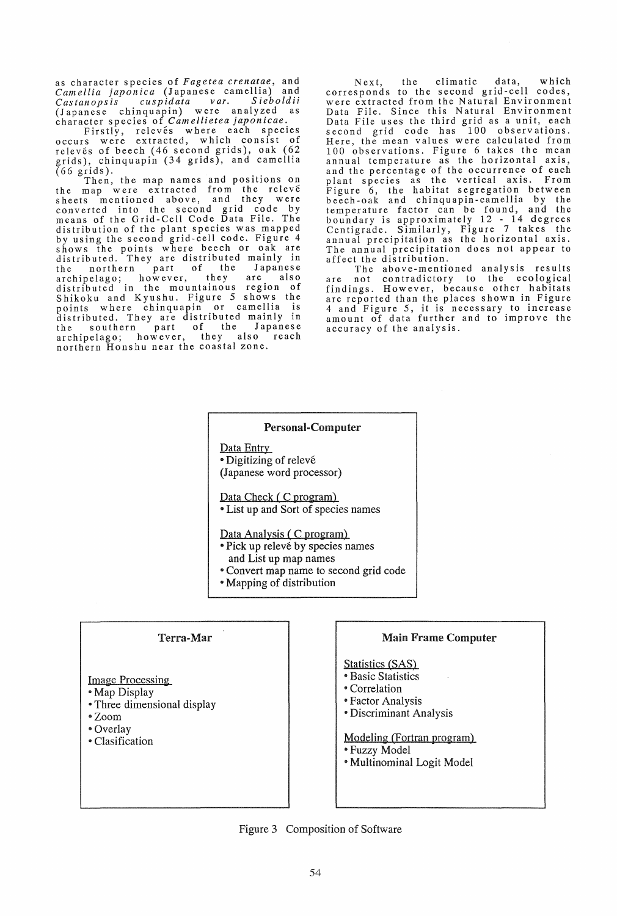as character species of *Fagetea crenatae,* and *Camellia japonica* (Japanese camellia) and *Castanopsis cuspidata var. Sieboldii*  (Japanese chinquapin) were analyzed as character species of *Camellietea japonicae.* 

Firstly, releves where each species occurs were extracted, which consist of relevés of beech (46 second grids), oak (62 grids), chinquapin (34 grids), and camellia<br>(66 grids).

 $(66 \text{ grids}).$  Then, the map names and positions on the map were extracted from the releve sheets mentioned above, and they were sheets mentioned above, and they were<br>converted into the second grid code by<br>means of the Grid-Cell Code Data File. The distribution of the plant species was mapped by using the second grid-cell code. Figure 4 shows the points where beech or oak are distributed. They are distributed mainly in the northern part of the Japanese archipelago; however, they are also distributed in the mountainous region of Shikoku and Kyushu. Figure 5 shows the Shikoku and Kyushu. Figure 5 snows the<br>points where chinquapin or camellia is<br>distributed. They are distributed mainly in the southern part of the Japanese archipelago; however, they also reach northern Honshu near the coastal zone.

Next, the climatic data, which corresponds to the second grid-cell codes, were extracted from the Natural Environment Data File. Since this Natural Environment Data File uses the third grid as a unit, each second grid code has 100 observations. Here, the mean values were calculated from 100 observations. Figure 6 takes the mean annual temperature as the horizontal axis, and the percentage of the occurrence of each plant species as the vertical axis. From Figure 6, the habitat segregation between beech-oak and chinquapin-camellia by the temperature factor can be found, and the boundary is approximately 12 - 14 degrees Centigrade. Similarly, Figure 7 takes the annual precipitation as the horizontal axis. The annual precipitation does not appear to affect the distribution.

The above-mentioned analysis results are not contradictory to the ecological findings. However, because other habitats are reported than the places shown in Figure 4 and Figure 5, it is necessary to increase amount of data further and to improve the accuracy of the analysis.

## Personal-Computer

Data Entry • Digitizing of relevé (Japanese word processor)

Data Check ( C program)

• List up and Sort of species names

Data Analysis ( C program)

- Pick up releve by species names and List up map names
- Convert map name to second grid code
- Mapping of distribution

# Terra-Mar

# Image Processing

- Map Display
- Three dimensional display
- Zoom
- Overlay
- Clasification

# Main Frame Computer

# Statistics (SAS)

- **Basic Statistics**
- Correlation
- Factor Analysis
- Discriminant Analysis

Modeling (Fortran program)

- Fuzzy Model
- Multinominal Logit Model

Figure 3 Composition of Software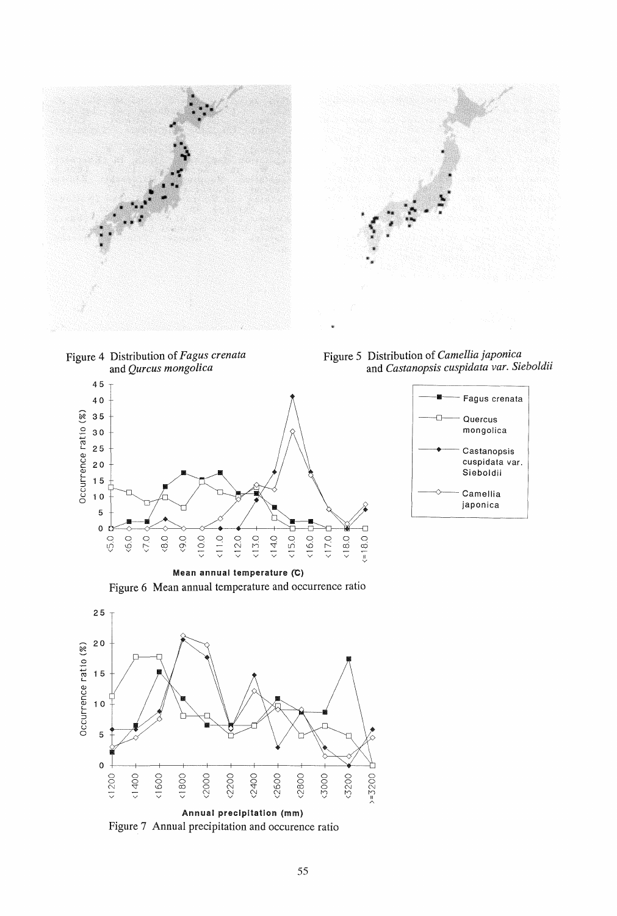



Figure 4 Distribution of *Fagus crenata*  and *Qurcus mongolica* 



Figure 5 Distribution of *Camellia japonica*  and *Castanopsis cuspidata var. Sieboldii* 



Mean annual temperature (C) Figure 6 Mean annual temperature and occurrence ratio



Figure 7 Annual precipitation and occurence ratio